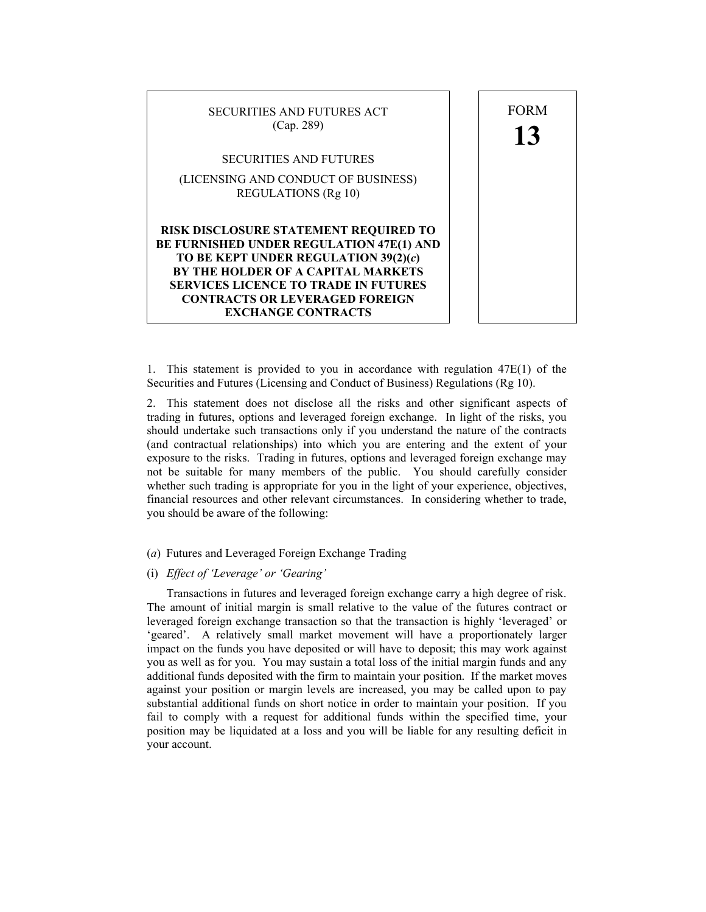

1. This statement is provided to you in accordance with regulation 47E(1) of the Securities and Futures (Licensing and Conduct of Business) Regulations (Rg 10).

2. This statement does not disclose all the risks and other significant aspects of trading in futures, options and leveraged foreign exchange. In light of the risks, you should undertake such transactions only if you understand the nature of the contracts (and contractual relationships) into which you are entering and the extent of your exposure to the risks. Trading in futures, options and leveraged foreign exchange may not be suitable for many members of the public. You should carefully consider whether such trading is appropriate for you in the light of your experience, objectives, financial resources and other relevant circumstances. In considering whether to trade, you should be aware of the following:

## (*a*) Futures and Leveraged Foreign Exchange Trading

# (i) *Effect of 'Leverage' or 'Gearing'*

 Transactions in futures and leveraged foreign exchange carry a high degree of risk. The amount of initial margin is small relative to the value of the futures contract or leveraged foreign exchange transaction so that the transaction is highly 'leveraged' or 'geared'. A relatively small market movement will have a proportionately larger impact on the funds you have deposited or will have to deposit; this may work against you as well as for you. You may sustain a total loss of the initial margin funds and any additional funds deposited with the firm to maintain your position. If the market moves against your position or margin levels are increased, you may be called upon to pay substantial additional funds on short notice in order to maintain your position. If you fail to comply with a request for additional funds within the specified time, your position may be liquidated at a loss and you will be liable for any resulting deficit in your account.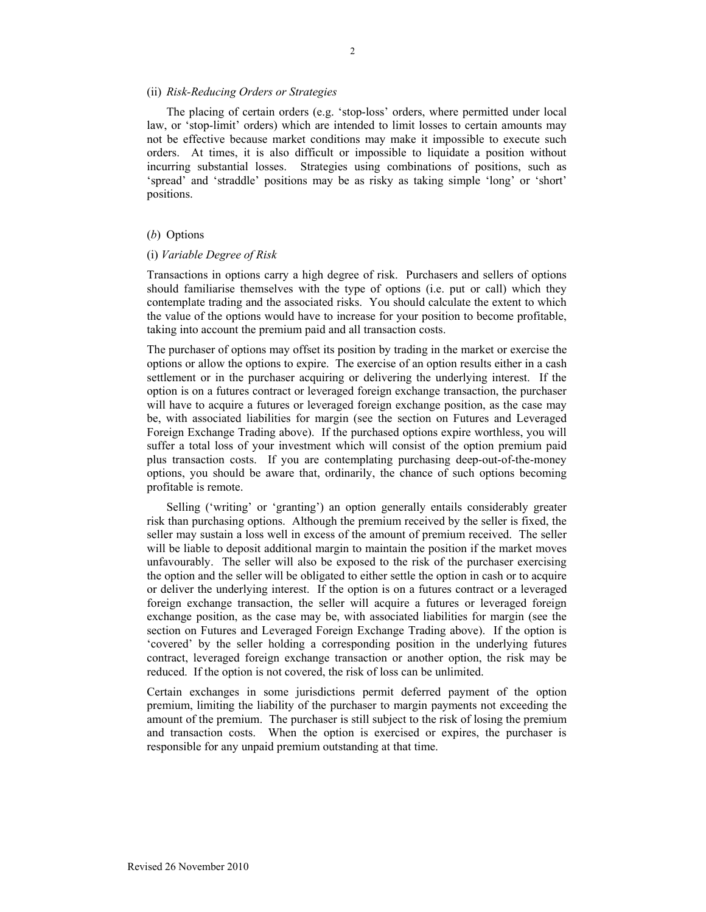#### (ii) *Risk-Reducing Orders or Strategies*

 The placing of certain orders (e.g. 'stop-loss' orders, where permitted under local law, or 'stop-limit' orders) which are intended to limit losses to certain amounts may not be effective because market conditions may make it impossible to execute such orders. At times, it is also difficult or impossible to liquidate a position without incurring substantial losses. Strategies using combinations of positions, such as 'spread' and 'straddle' positions may be as risky as taking simple 'long' or 'short' positions.

## (*b*) Options

#### (i) *Variable Degree of Risk*

Transactions in options carry a high degree of risk. Purchasers and sellers of options should familiarise themselves with the type of options (i.e. put or call) which they contemplate trading and the associated risks. You should calculate the extent to which the value of the options would have to increase for your position to become profitable, taking into account the premium paid and all transaction costs.

The purchaser of options may offset its position by trading in the market or exercise the options or allow the options to expire. The exercise of an option results either in a cash settlement or in the purchaser acquiring or delivering the underlying interest. If the option is on a futures contract or leveraged foreign exchange transaction, the purchaser will have to acquire a futures or leveraged foreign exchange position, as the case may be, with associated liabilities for margin (see the section on Futures and Leveraged Foreign Exchange Trading above). If the purchased options expire worthless, you will suffer a total loss of your investment which will consist of the option premium paid plus transaction costs. If you are contemplating purchasing deep-out-of-the-money options, you should be aware that, ordinarily, the chance of such options becoming profitable is remote.

 Selling ('writing' or 'granting') an option generally entails considerably greater risk than purchasing options. Although the premium received by the seller is fixed, the seller may sustain a loss well in excess of the amount of premium received. The seller will be liable to deposit additional margin to maintain the position if the market moves unfavourably. The seller will also be exposed to the risk of the purchaser exercising the option and the seller will be obligated to either settle the option in cash or to acquire or deliver the underlying interest. If the option is on a futures contract or a leveraged foreign exchange transaction, the seller will acquire a futures or leveraged foreign exchange position, as the case may be, with associated liabilities for margin (see the section on Futures and Leveraged Foreign Exchange Trading above). If the option is 'covered' by the seller holding a corresponding position in the underlying futures contract, leveraged foreign exchange transaction or another option, the risk may be reduced. If the option is not covered, the risk of loss can be unlimited.

Certain exchanges in some jurisdictions permit deferred payment of the option premium, limiting the liability of the purchaser to margin payments not exceeding the amount of the premium. The purchaser is still subject to the risk of losing the premium and transaction costs. When the option is exercised or expires, the purchaser is responsible for any unpaid premium outstanding at that time.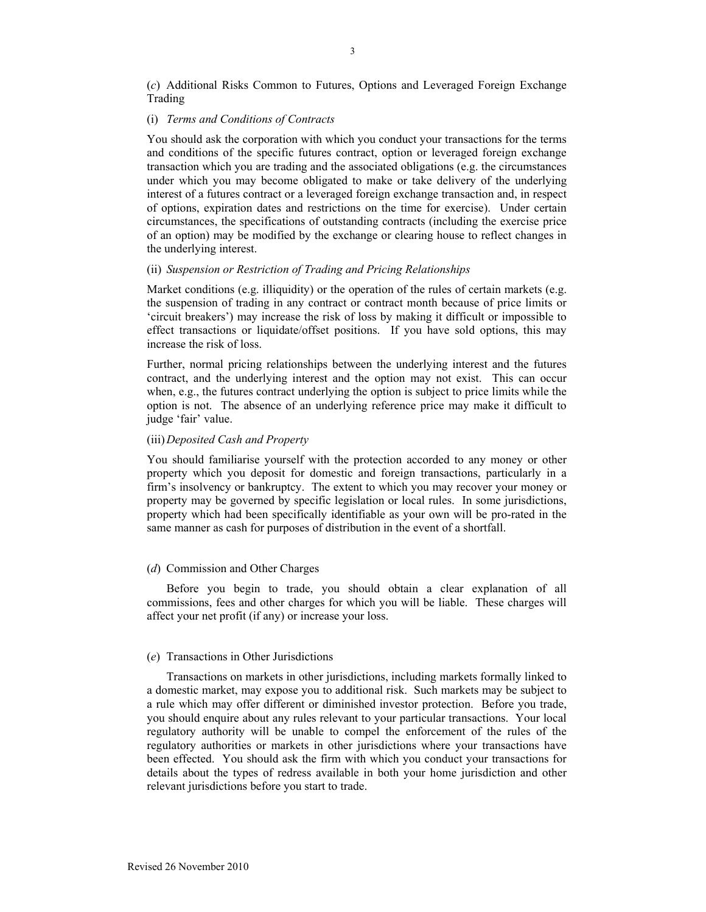(*c*) Additional Risks Common to Futures, Options and Leveraged Foreign Exchange Trading

#### (i) *Terms and Conditions of Contracts*

You should ask the corporation with which you conduct your transactions for the terms and conditions of the specific futures contract, option or leveraged foreign exchange transaction which you are trading and the associated obligations (e.g. the circumstances under which you may become obligated to make or take delivery of the underlying interest of a futures contract or a leveraged foreign exchange transaction and, in respect of options, expiration dates and restrictions on the time for exercise). Under certain circumstances, the specifications of outstanding contracts (including the exercise price of an option) may be modified by the exchange or clearing house to reflect changes in the underlying interest.

## (ii) *Suspension or Restriction of Trading and Pricing Relationships*

Market conditions (e.g. illiquidity) or the operation of the rules of certain markets (e.g. the suspension of trading in any contract or contract month because of price limits or 'circuit breakers') may increase the risk of loss by making it difficult or impossible to effect transactions or liquidate/offset positions. If you have sold options, this may increase the risk of loss.

Further, normal pricing relationships between the underlying interest and the futures contract, and the underlying interest and the option may not exist. This can occur when, e.g., the futures contract underlying the option is subject to price limits while the option is not. The absence of an underlying reference price may make it difficult to judge 'fair' value.

## (iii) *Deposited Cash and Property*

You should familiarise yourself with the protection accorded to any money or other property which you deposit for domestic and foreign transactions, particularly in a firm's insolvency or bankruptcy. The extent to which you may recover your money or property may be governed by specific legislation or local rules. In some jurisdictions, property which had been specifically identifiable as your own will be pro-rated in the same manner as cash for purposes of distribution in the event of a shortfall.

### (*d*) Commission and Other Charges

 Before you begin to trade, you should obtain a clear explanation of all commissions, fees and other charges for which you will be liable. These charges will affect your net profit (if any) or increase your loss.

#### (*e*) Transactions in Other Jurisdictions

 Transactions on markets in other jurisdictions, including markets formally linked to a domestic market, may expose you to additional risk. Such markets may be subject to a rule which may offer different or diminished investor protection. Before you trade, you should enquire about any rules relevant to your particular transactions. Your local regulatory authority will be unable to compel the enforcement of the rules of the regulatory authorities or markets in other jurisdictions where your transactions have been effected. You should ask the firm with which you conduct your transactions for details about the types of redress available in both your home jurisdiction and other relevant jurisdictions before you start to trade.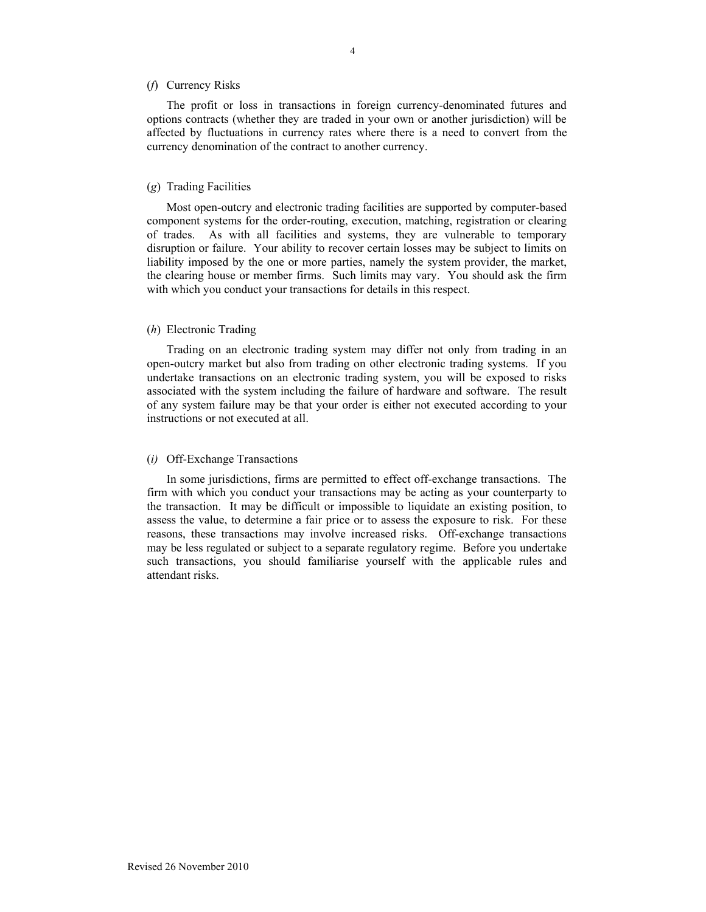### (*f*) Currency Risks

 The profit or loss in transactions in foreign currency-denominated futures and options contracts (whether they are traded in your own or another jurisdiction) will be affected by fluctuations in currency rates where there is a need to convert from the currency denomination of the contract to another currency.

#### (*g*) Trading Facilities

 Most open-outcry and electronic trading facilities are supported by computer-based component systems for the order-routing, execution, matching, registration or clearing of trades. As with all facilities and systems, they are vulnerable to temporary disruption or failure. Your ability to recover certain losses may be subject to limits on liability imposed by the one or more parties, namely the system provider, the market, the clearing house or member firms. Such limits may vary. You should ask the firm with which you conduct your transactions for details in this respect.

### (*h*) Electronic Trading

 Trading on an electronic trading system may differ not only from trading in an open-outcry market but also from trading on other electronic trading systems. If you undertake transactions on an electronic trading system, you will be exposed to risks associated with the system including the failure of hardware and software. The result of any system failure may be that your order is either not executed according to your instructions or not executed at all.

#### (*i)* Off-Exchange Transactions

 In some jurisdictions, firms are permitted to effect off-exchange transactions. The firm with which you conduct your transactions may be acting as your counterparty to the transaction. It may be difficult or impossible to liquidate an existing position, to assess the value, to determine a fair price or to assess the exposure to risk. For these reasons, these transactions may involve increased risks. Off-exchange transactions may be less regulated or subject to a separate regulatory regime. Before you undertake such transactions, you should familiarise yourself with the applicable rules and attendant risks.